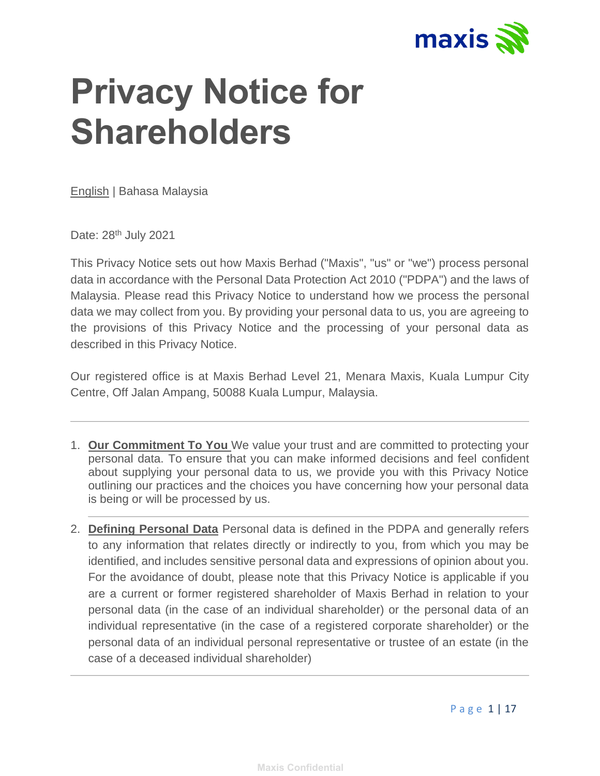

## **Privacy Notice for Shareholders**

English | [Bahasa Malaysia](https://www.maxis.com.my/privacy-statement/ms.html)

Date: 28<sup>th</sup> July 2021

This Privacy Notice sets out how Maxis Berhad ("Maxis", "us" or "we") process personal data in accordance with the Personal Data Protection Act 2010 ("PDPA") and the laws of Malaysia. Please read this Privacy Notice to understand how we process the personal data we may collect from you. By providing your personal data to us, you are agreeing to the provisions of this Privacy Notice and the processing of your personal data as described in this Privacy Notice.

Our registered office is at Maxis Berhad Level 21, Menara Maxis, Kuala Lumpur City Centre, Off Jalan Ampang, 50088 Kuala Lumpur, Malaysia.

- 1. **Our Commitment To You** We value your trust and are committed to protecting your personal data. To ensure that you can make informed decisions and feel confident about supplying your personal data to us, we provide you with this Privacy Notice outlining our practices and the choices you have concerning how your personal data is being or will be processed by us.
- 2. **Defining Personal Data** Personal data is defined in the PDPA and generally refers to any information that relates directly or indirectly to you, from which you may be identified, and includes sensitive personal data and expressions of opinion about you. For the avoidance of doubt, please note that this Privacy Notice is applicable if you are a current or former registered shareholder of Maxis Berhad in relation to your personal data (in the case of an individual shareholder) or the personal data of an individual representative (in the case of a registered corporate shareholder) or the personal data of an individual personal representative or trustee of an estate (in the case of a deceased individual shareholder)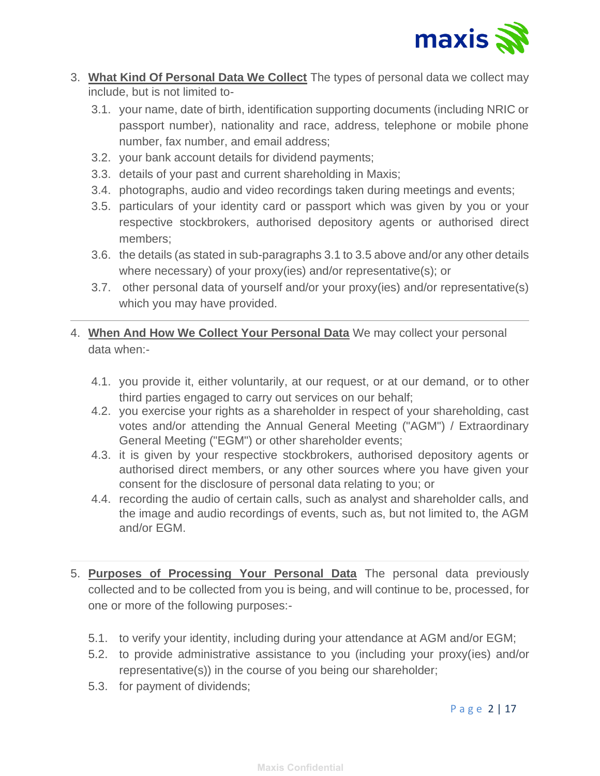

- 3. **What Kind Of Personal Data We Collect** The types of personal data we collect may include, but is not limited to-
	- 3.1. your name, date of birth, identification supporting documents (including NRIC or passport number), nationality and race, address, telephone or mobile phone number, fax number, and email address;
	- 3.2. your bank account details for dividend payments;
	- 3.3. details of your past and current shareholding in Maxis;
	- 3.4. photographs, audio and video recordings taken during meetings and events;
	- 3.5. particulars of your identity card or passport which was given by you or your respective stockbrokers, authorised depository agents or authorised direct members;
	- 3.6. the details (as stated in sub-paragraphs 3.1 to 3.5 above and/or any other details where necessary) of your proxy(ies) and/or representative(s); or
	- 3.7. other personal data of yourself and/or your proxy(ies) and/or representative(s) which you may have provided.
- 4. **When And How We Collect Your Personal Data** We may collect your personal data when:-
	- 4.1. you provide it, either voluntarily, at our request, or at our demand, or to other third parties engaged to carry out services on our behalf;
	- 4.2. you exercise your rights as a shareholder in respect of your shareholding, cast votes and/or attending the Annual General Meeting ("AGM") / Extraordinary General Meeting ("EGM") or other shareholder events;
	- 4.3. it is given by your respective stockbrokers, authorised depository agents or authorised direct members, or any other sources where you have given your consent for the disclosure of personal data relating to you; or
	- 4.4. recording the audio of certain calls, such as analyst and shareholder calls, and the image and audio recordings of events, such as, but not limited to, the AGM and/or EGM.
- 5. **Purposes of Processing Your Personal Data** The personal data previously collected and to be collected from you is being, and will continue to be, processed, for one or more of the following purposes:-
	- 5.1. to verify your identity, including during your attendance at AGM and/or EGM;
	- 5.2. to provide administrative assistance to you (including your proxy(ies) and/or representative(s)) in the course of you being our shareholder;
	- 5.3. for payment of dividends;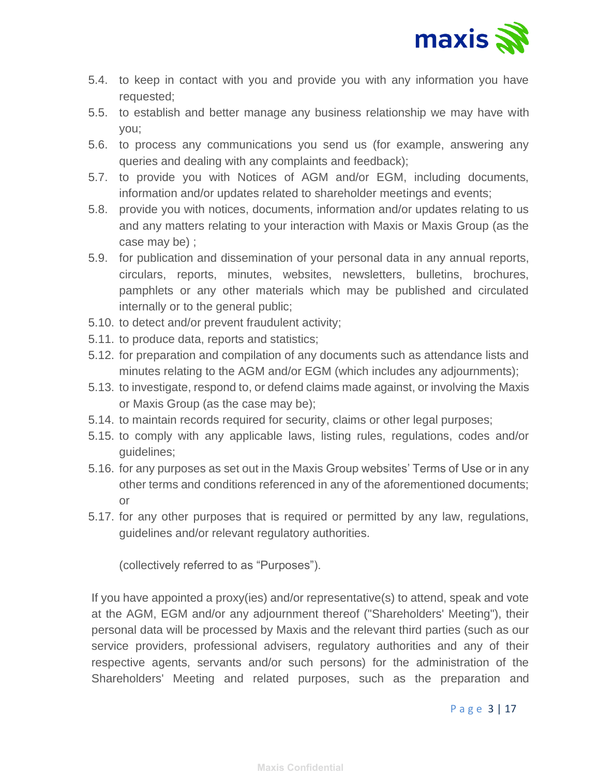

- 5.4. to keep in contact with you and provide you with any information you have requested;
- 5.5. to establish and better manage any business relationship we may have with you;
- 5.6. to process any communications you send us (for example, answering any queries and dealing with any complaints and feedback);
- 5.7. to provide you with Notices of AGM and/or EGM, including documents, information and/or updates related to shareholder meetings and events;
- 5.8. provide you with notices, documents, information and/or updates relating to us and any matters relating to your interaction with Maxis or Maxis Group (as the case may be) ;
- 5.9. for publication and dissemination of your personal data in any annual reports, circulars, reports, minutes, websites, newsletters, bulletins, brochures, pamphlets or any other materials which may be published and circulated internally or to the general public;
- 5.10. to detect and/or prevent fraudulent activity;
- 5.11. to produce data, reports and statistics;
- 5.12. for preparation and compilation of any documents such as attendance lists and minutes relating to the AGM and/or EGM (which includes any adjournments);
- 5.13. to investigate, respond to, or defend claims made against, or involving the Maxis or Maxis Group (as the case may be);
- 5.14. to maintain records required for security, claims or other legal purposes;
- 5.15. to comply with any applicable laws, listing rules, regulations, codes and/or guidelines;
- 5.16. for any purposes as set out in the Maxis Group websites' Terms of Use or in any other terms and conditions referenced in any of the aforementioned documents; or
- 5.17. for any other purposes that is required or permitted by any law, regulations, guidelines and/or relevant regulatory authorities.

(collectively referred to as "Purposes").

If you have appointed a proxy(ies) and/or representative(s) to attend, speak and vote at the AGM, EGM and/or any adjournment thereof ("Shareholders' Meeting"), their personal data will be processed by Maxis and the relevant third parties (such as our service providers, professional advisers, regulatory authorities and any of their respective agents, servants and/or such persons) for the administration of the Shareholders' Meeting and related purposes, such as the preparation and

## P a g e 3 | 17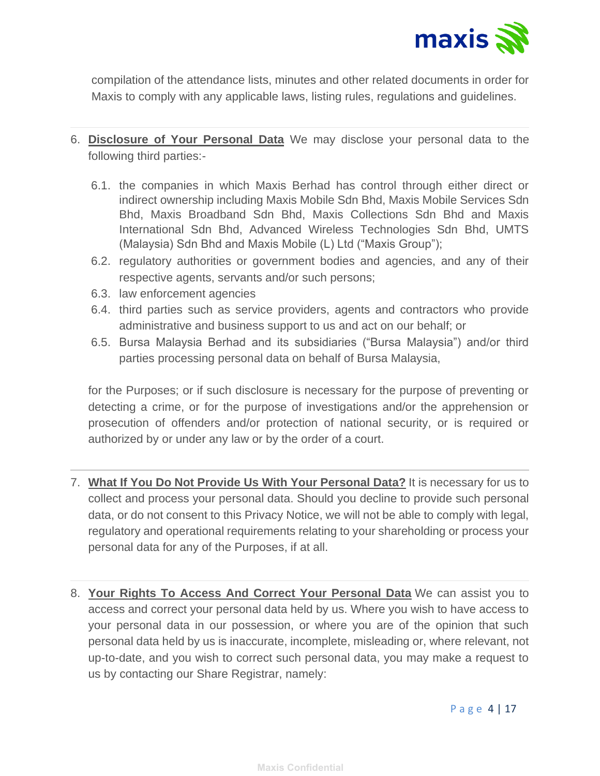

compilation of the attendance lists, minutes and other related documents in order for Maxis to comply with any applicable laws, listing rules, regulations and guidelines.

- 6. **Disclosure of Your Personal Data** We may disclose your personal data to the following third parties:-
	- 6.1. the companies in which Maxis Berhad has control through either direct or indirect ownership including Maxis Mobile Sdn Bhd, Maxis Mobile Services Sdn Bhd, Maxis Broadband Sdn Bhd, Maxis Collections Sdn Bhd and Maxis International Sdn Bhd, Advanced Wireless Technologies Sdn Bhd, UMTS (Malaysia) Sdn Bhd and Maxis Mobile (L) Ltd ("Maxis Group");
	- 6.2. regulatory authorities or government bodies and agencies, and any of their respective agents, servants and/or such persons;
	- 6.3. law enforcement agencies
	- 6.4. third parties such as service providers, agents and contractors who provide administrative and business support to us and act on our behalf; or
	- 6.5. Bursa Malaysia Berhad and its subsidiaries ("Bursa Malaysia") and/or third parties processing personal data on behalf of Bursa Malaysia,

 for the Purposes; or if such disclosure is necessary for the purpose of preventing or detecting a crime, or for the purpose of investigations and/or the apprehension or prosecution of offenders and/or protection of national security, or is required or authorized by or under any law or by the order of a court.

- 7. **What If You Do Not Provide Us With Your Personal Data?** It is necessary for us to collect and process your personal data. Should you decline to provide such personal data, or do not consent to this Privacy Notice, we will not be able to comply with legal, regulatory and operational requirements relating to your shareholding or process your personal data for any of the Purposes, if at all.
- 8. **Your Rights To Access And Correct Your Personal Data** We can assist you to access and correct your personal data held by us. Where you wish to have access to your personal data in our possession, or where you are of the opinion that such personal data held by us is inaccurate, incomplete, misleading or, where relevant, not up-to-date, and you wish to correct such personal data, you may make a request to us by contacting our Share Registrar, namely: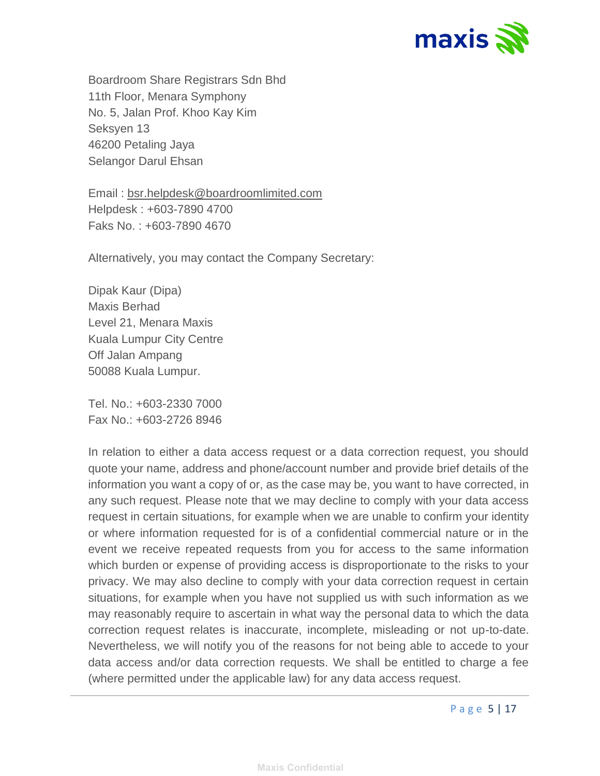

Boardroom Share Registrars Sdn Bhd 11th Floor, Menara Symphony No. 5, Jalan Prof. Khoo Kay Kim Seksyen 13 46200 Petaling Jaya Selangor Darul Ehsan

Email : [bsr.helpdesk@boardroomlimited.com](mailto:bsr.helpdesk@boardroomlimited.com) Helpdesk : +603-7890 4700 Faks No. : +603-7890 4670

Alternatively, you may contact the Company Secretary:

Dipak Kaur (Dipa) Maxis Berhad Level 21, Menara Maxis Kuala Lumpur City Centre Off Jalan Ampang 50088 Kuala Lumpur.

Tel. No.: +603-2330 7000 Fax No.: +603-2726 8946

In relation to either a data access request or a data correction request, you should quote your name, address and phone/account number and provide brief details of the information you want a copy of or, as the case may be, you want to have corrected, in any such request. Please note that we may decline to comply with your data access request in certain situations, for example when we are unable to confirm your identity or where information requested for is of a confidential commercial nature or in the event we receive repeated requests from you for access to the same information which burden or expense of providing access is disproportionate to the risks to your privacy. We may also decline to comply with your data correction request in certain situations, for example when you have not supplied us with such information as we may reasonably require to ascertain in what way the personal data to which the data correction request relates is inaccurate, incomplete, misleading or not up-to-date. Nevertheless, we will notify you of the reasons for not being able to accede to your data access and/or data correction requests. We shall be entitled to charge a fee (where permitted under the applicable law) for any data access request.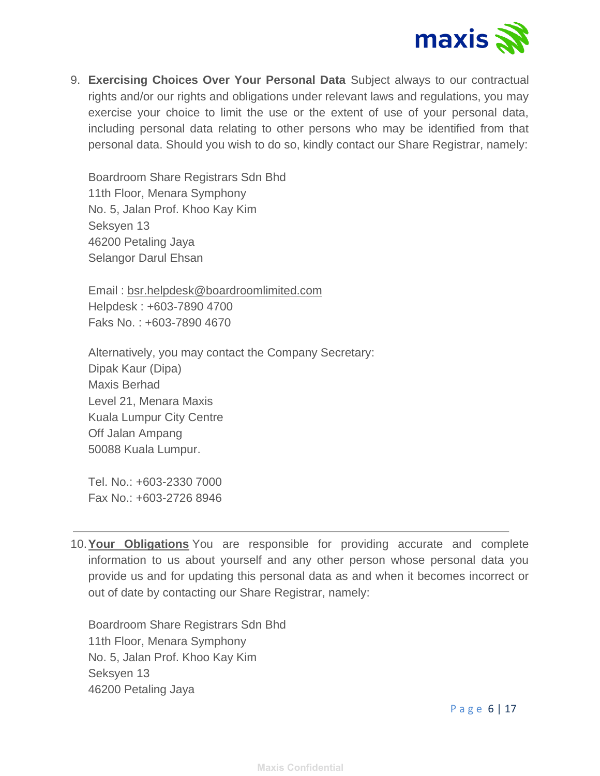

9. **Exercising Choices Over Your Personal Data** Subject always to our contractual rights and/or our rights and obligations under relevant laws and regulations, you may exercise your choice to limit the use or the extent of use of your personal data, including personal data relating to other persons who may be identified from that personal data. Should you wish to do so, kindly contact our Share Registrar, namely:

Boardroom Share Registrars Sdn Bhd 11th Floor, Menara Symphony No. 5, Jalan Prof. Khoo Kay Kim Seksyen 13 46200 Petaling Jaya Selangor Darul Ehsan

Email : [bsr.helpdesk@boardroomlimited.com](mailto:bsr.helpdesk@boardroomlimited.com) Helpdesk : +603-7890 4700 Faks No. : +603-7890 4670

Alternatively, you may contact the Company Secretary: Dipak Kaur (Dipa) Maxis Berhad Level 21, Menara Maxis Kuala Lumpur City Centre Off Jalan Ampang 50088 Kuala Lumpur.

Tel. No.: +603-2330 7000 Fax No.: +603-2726 8946

10.**Your Obligations** You are responsible for providing accurate and complete information to us about yourself and any other person whose personal data you provide us and for updating this personal data as and when it becomes incorrect or out of date by contacting our Share Registrar, namely:

Boardroom Share Registrars Sdn Bhd 11th Floor, Menara Symphony No. 5, Jalan Prof. Khoo Kay Kim Seksyen 13 46200 Petaling Jaya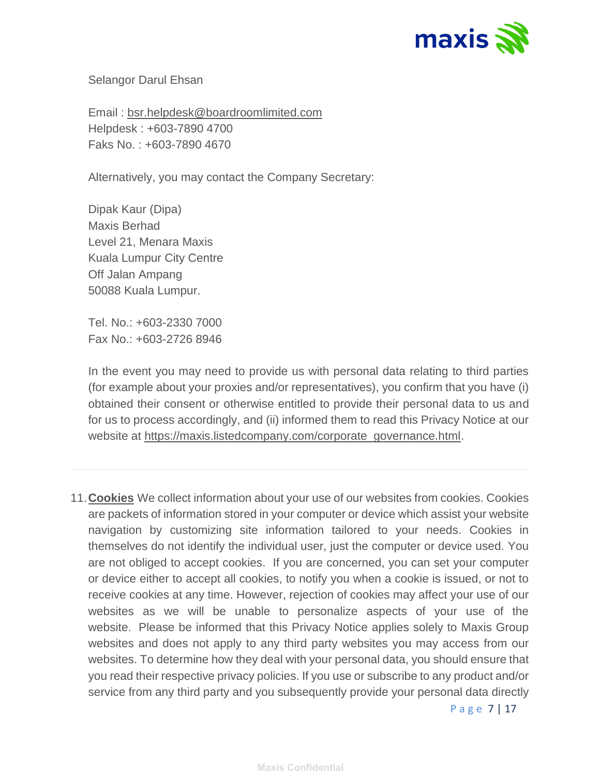

Selangor Darul Ehsan

Email : [bsr.helpdesk@boardroomlimited.com](mailto:bsr.helpdesk@boardroomlimited.com) Helpdesk : +603-7890 4700 Faks No. : +603-7890 4670

Alternatively, you may contact the Company Secretary:

Dipak Kaur (Dipa) Maxis Berhad Level 21, Menara Maxis Kuala Lumpur City Centre Off Jalan Ampang 50088 Kuala Lumpur.

Tel. No.: +603-2330 7000 Fax No.: +603-2726 8946

In the event you may need to provide us with personal data relating to third parties (for example about your proxies and/or representatives), you confirm that you have (i) obtained their consent or otherwise entitled to provide their personal data to us and for us to process accordingly, and (ii) informed them to read this Privacy Notice at our website at [https://maxis.listedcompany.com/corporate\\_governance.html.](https://maxis.listedcompany.com/corporate_governance.html)

11.**Cookies** We collect information about your use of our websites from cookies. Cookies are packets of information stored in your computer or device which assist your website navigation by customizing site information tailored to your needs. Cookies in themselves do not identify the individual user, just the computer or device used. You are not obliged to accept cookies. If you are concerned, you can set your computer or device either to accept all cookies, to notify you when a cookie is issued, or not to receive cookies at any time. However, rejection of cookies may affect your use of our websites as we will be unable to personalize aspects of your use of the website. Please be informed that this Privacy Notice applies solely to Maxis Group websites and does not apply to any third party websites you may access from our websites. To determine how they deal with your personal data, you should ensure that you read their respective privacy policies. If you use or subscribe to any product and/or service from any third party and you subsequently provide your personal data directly

P a g e 7 | 17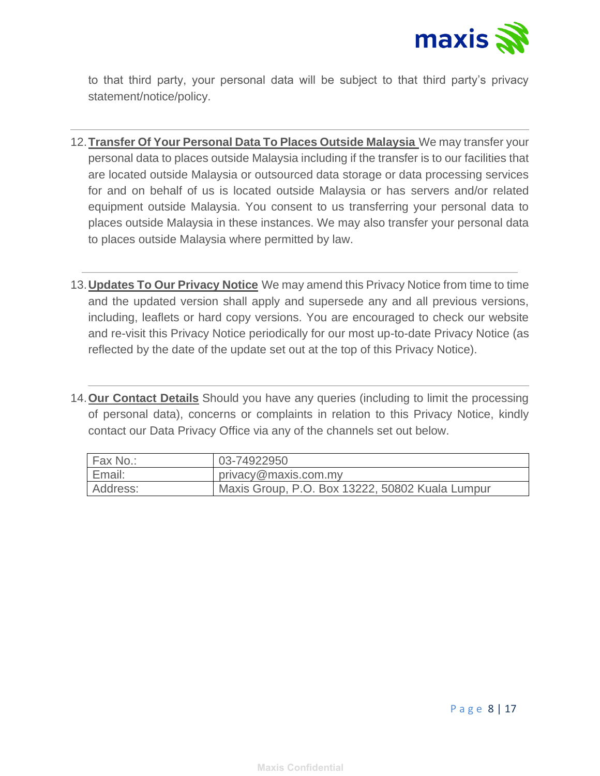

to that third party, your personal data will be subject to that third party's privacy statement/notice/policy.

- 12.**Transfer Of Your Personal Data To Places Outside Malaysia** We may transfer your personal data to places outside Malaysia including if the transfer is to our facilities that are located outside Malaysia or outsourced data storage or data processing services for and on behalf of us is located outside Malaysia or has servers and/or related equipment outside Malaysia. You consent to us transferring your personal data to places outside Malaysia in these instances. We may also transfer your personal data to places outside Malaysia where permitted by law.
- 13.**Updates To Our Privacy Notice** We may amend this Privacy Notice from time to time and the updated version shall apply and supersede any and all previous versions, including, leaflets or hard copy versions. You are encouraged to check our website and re-visit this Privacy Notice periodically for our most up-to-date Privacy Notice (as reflected by the date of the update set out at the top of this Privacy Notice).
- 14.**Our Contact Details** Should you have any queries (including to limit the processing of personal data), concerns or complaints in relation to this Privacy Notice, kindly contact our Data Privacy Office via any of the channels set out below.

| Fax No.: | 03-74922950                                     |
|----------|-------------------------------------------------|
| Email:   | privacy@maxis.com.my                            |
| Address: | Maxis Group, P.O. Box 13222, 50802 Kuala Lumpur |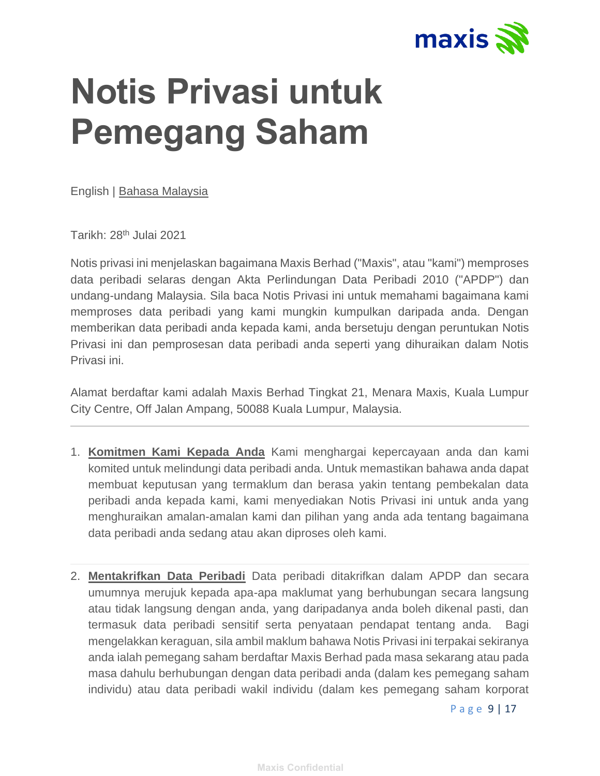

## **Notis Privasi untuk Pemegang Saham**

English | [Bahasa Malaysia](https://www.maxis.com.my/privacy-statement/ms.html)

Tarikh: 28th Julai 2021

Notis privasi ini menjelaskan bagaimana Maxis Berhad ("Maxis", atau "kami") memproses data peribadi selaras dengan Akta Perlindungan Data Peribadi 2010 ("APDP") dan undang-undang Malaysia. Sila baca Notis Privasi ini untuk memahami bagaimana kami memproses data peribadi yang kami mungkin kumpulkan daripada anda. Dengan memberikan data peribadi anda kepada kami, anda bersetuju dengan peruntukan Notis Privasi ini dan pemprosesan data peribadi anda seperti yang dihuraikan dalam Notis Privasi ini.

Alamat berdaftar kami adalah Maxis Berhad Tingkat 21, Menara Maxis, Kuala Lumpur City Centre, Off Jalan Ampang, 50088 Kuala Lumpur, Malaysia.

- 1. **Komitmen Kami Kepada Anda** Kami menghargai kepercayaan anda dan kami komited untuk melindungi data peribadi anda. Untuk memastikan bahawa anda dapat membuat keputusan yang termaklum dan berasa yakin tentang pembekalan data peribadi anda kepada kami, kami menyediakan Notis Privasi ini untuk anda yang menghuraikan amalan-amalan kami dan pilihan yang anda ada tentang bagaimana data peribadi anda sedang atau akan diproses oleh kami.
- 2. **Mentakrifkan Data Peribadi** Data peribadi ditakrifkan dalam APDP dan secara umumnya merujuk kepada apa-apa maklumat yang berhubungan secara langsung atau tidak langsung dengan anda, yang daripadanya anda boleh dikenal pasti, dan termasuk data peribadi sensitif serta penyataan pendapat tentang anda. Bagi mengelakkan keraguan, sila ambil maklum bahawa Notis Privasi ini terpakai sekiranya anda ialah pemegang saham berdaftar Maxis Berhad pada masa sekarang atau pada masa dahulu berhubungan dengan data peribadi anda (dalam kes pemegang saham individu) atau data peribadi wakil individu (dalam kes pemegang saham korporat

P a g e 9 | 17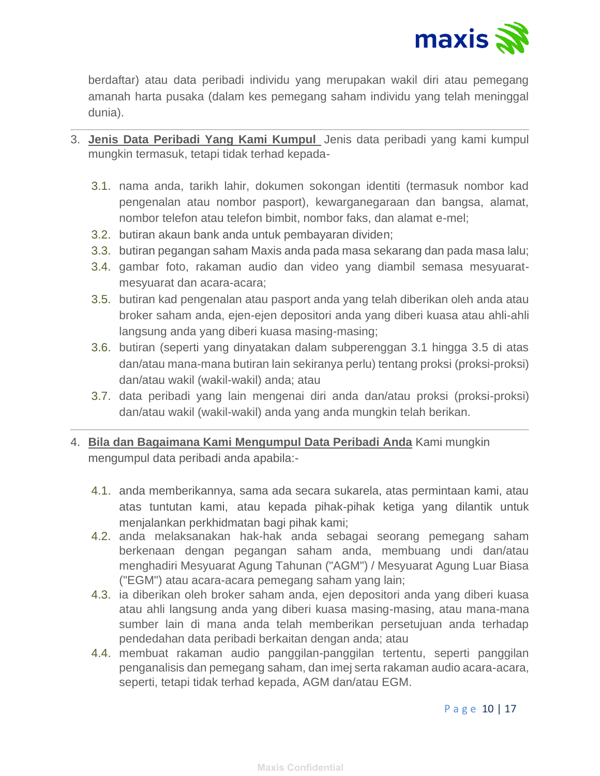

berdaftar) atau data peribadi individu yang merupakan wakil diri atau pemegang amanah harta pusaka (dalam kes pemegang saham individu yang telah meninggal dunia).

- 3. **Jenis Data Peribadi Yang Kami Kumpul** Jenis data peribadi yang kami kumpul mungkin termasuk, tetapi tidak terhad kepada-
	- 3.1. nama anda, tarikh lahir, dokumen sokongan identiti (termasuk nombor kad pengenalan atau nombor pasport), kewarganegaraan dan bangsa, alamat, nombor telefon atau telefon bimbit, nombor faks, dan alamat e-mel;
	- 3.2. butiran akaun bank anda untuk pembayaran dividen;
	- 3.3. butiran pegangan saham Maxis anda pada masa sekarang dan pada masa lalu;
	- 3.4. gambar foto, rakaman audio dan video yang diambil semasa mesyuaratmesyuarat dan acara-acara;
	- 3.5. butiran kad pengenalan atau pasport anda yang telah diberikan oleh anda atau broker saham anda, ejen-ejen depositori anda yang diberi kuasa atau ahli-ahli langsung anda yang diberi kuasa masing-masing;
	- 3.6. butiran (seperti yang dinyatakan dalam subperenggan 3.1 hingga 3.5 di atas dan/atau mana-mana butiran lain sekiranya perlu) tentang proksi (proksi-proksi) dan/atau wakil (wakil-wakil) anda; atau
	- 3.7. data peribadi yang lain mengenai diri anda dan/atau proksi (proksi-proksi) dan/atau wakil (wakil-wakil) anda yang anda mungkin telah berikan.
- 4. **Bila dan Bagaimana Kami Mengumpul Data Peribadi Anda** Kami mungkin mengumpul data peribadi anda apabila:-
	- 4.1. anda memberikannya, sama ada secara sukarela, atas permintaan kami, atau atas tuntutan kami, atau kepada pihak-pihak ketiga yang dilantik untuk menjalankan perkhidmatan bagi pihak kami;
	- 4.2. anda melaksanakan hak-hak anda sebagai seorang pemegang saham berkenaan dengan pegangan saham anda, membuang undi dan/atau menghadiri Mesyuarat Agung Tahunan ("AGM") / Mesyuarat Agung Luar Biasa ("EGM") atau acara-acara pemegang saham yang lain;
	- 4.3. ia diberikan oleh broker saham anda, ejen depositori anda yang diberi kuasa atau ahli langsung anda yang diberi kuasa masing-masing, atau mana-mana sumber lain di mana anda telah memberikan persetujuan anda terhadap pendedahan data peribadi berkaitan dengan anda; atau
	- 4.4. membuat rakaman audio panggilan-panggilan tertentu, seperti panggilan penganalisis dan pemegang saham, dan imej serta rakaman audio acara-acara, seperti, tetapi tidak terhad kepada, AGM dan/atau EGM.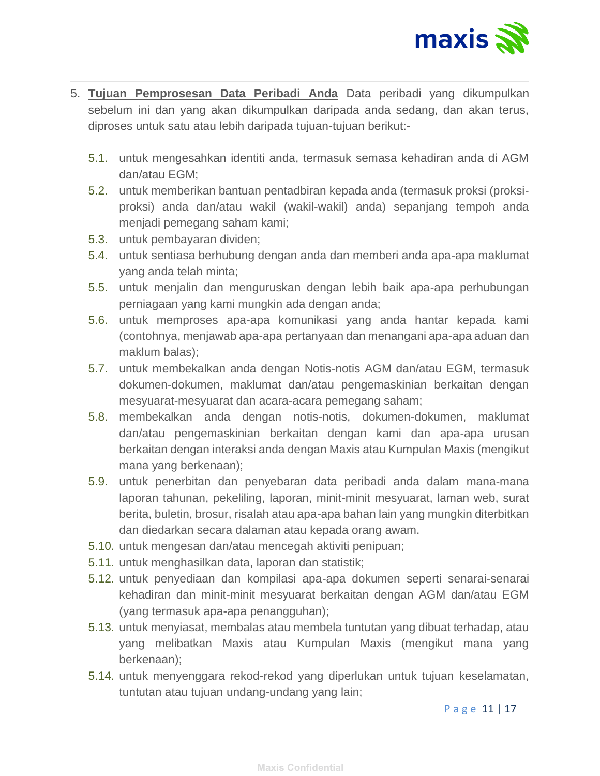

- 5. **Tujuan Pemprosesan Data Peribadi Anda** Data peribadi yang dikumpulkan sebelum ini dan yang akan dikumpulkan daripada anda sedang, dan akan terus, diproses untuk satu atau lebih daripada tujuan-tujuan berikut:-
	- 5.1. untuk mengesahkan identiti anda, termasuk semasa kehadiran anda di AGM dan/atau EGM;
	- 5.2. untuk memberikan bantuan pentadbiran kepada anda (termasuk proksi (proksiproksi) anda dan/atau wakil (wakil-wakil) anda) sepanjang tempoh anda menjadi pemegang saham kami;
	- 5.3. untuk pembayaran dividen;
	- 5.4. untuk sentiasa berhubung dengan anda dan memberi anda apa-apa maklumat yang anda telah minta;
	- 5.5. untuk menjalin dan menguruskan dengan lebih baik apa-apa perhubungan perniagaan yang kami mungkin ada dengan anda;
	- 5.6. untuk memproses apa-apa komunikasi yang anda hantar kepada kami (contohnya, menjawab apa-apa pertanyaan dan menangani apa-apa aduan dan maklum balas);
	- 5.7. untuk membekalkan anda dengan Notis-notis AGM dan/atau EGM, termasuk dokumen-dokumen, maklumat dan/atau pengemaskinian berkaitan dengan mesyuarat-mesyuarat dan acara-acara pemegang saham;
	- 5.8. membekalkan anda dengan notis-notis, dokumen-dokumen, maklumat dan/atau pengemaskinian berkaitan dengan kami dan apa-apa urusan berkaitan dengan interaksi anda dengan Maxis atau Kumpulan Maxis (mengikut mana yang berkenaan);
	- 5.9. untuk penerbitan dan penyebaran data peribadi anda dalam mana-mana laporan tahunan, pekeliling, laporan, minit-minit mesyuarat, laman web, surat berita, buletin, brosur, risalah atau apa-apa bahan lain yang mungkin diterbitkan dan diedarkan secara dalaman atau kepada orang awam.
	- 5.10. untuk mengesan dan/atau mencegah aktiviti penipuan;
	- 5.11. untuk menghasilkan data, laporan dan statistik;
	- 5.12. untuk penyediaan dan kompilasi apa-apa dokumen seperti senarai-senarai kehadiran dan minit-minit mesyuarat berkaitan dengan AGM dan/atau EGM (yang termasuk apa-apa penangguhan);
	- 5.13. untuk menyiasat, membalas atau membela tuntutan yang dibuat terhadap, atau yang melibatkan Maxis atau Kumpulan Maxis (mengikut mana yang berkenaan);
	- 5.14. untuk menyenggara rekod-rekod yang diperlukan untuk tujuan keselamatan, tuntutan atau tujuan undang-undang yang lain;

P a g e 11 | 17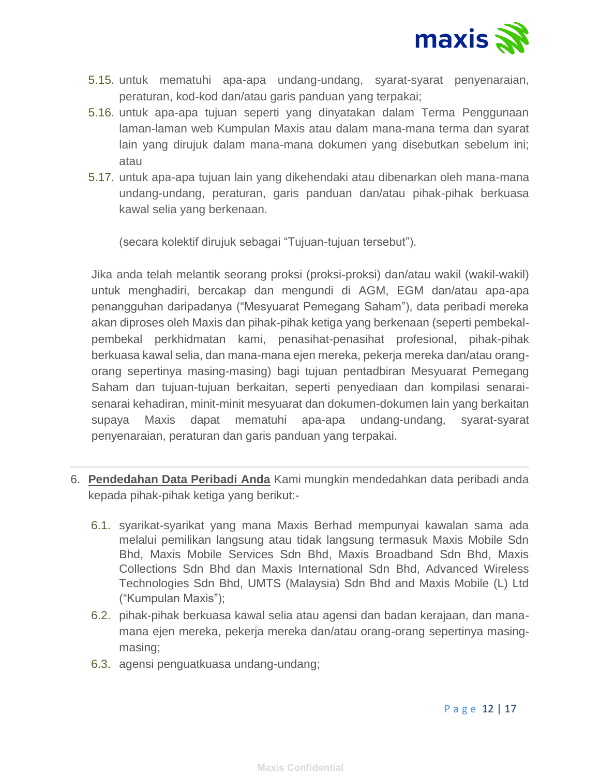

- 5.15. untuk mematuhi apa-apa undang-undang, syarat-syarat penyenaraian, peraturan, kod-kod dan/atau garis panduan yang terpakai;
- 5.16. untuk apa-apa tujuan seperti yang dinyatakan dalam Terma Penggunaan laman-laman web Kumpulan Maxis atau dalam mana-mana terma dan syarat lain yang dirujuk dalam mana-mana dokumen yang disebutkan sebelum ini; atau
- 5.17. untuk apa-apa tujuan lain yang dikehendaki atau dibenarkan oleh mana-mana undang-undang, peraturan, garis panduan dan/atau pihak-pihak berkuasa kawal selia yang berkenaan.

(secara kolektif dirujuk sebagai "Tujuan-tujuan tersebut").

Jika anda telah melantik seorang proksi (proksi-proksi) dan/atau wakil (wakil-wakil) untuk menghadiri, bercakap dan mengundi di AGM, EGM dan/atau apa-apa penangguhan daripadanya ("Mesyuarat Pemegang Saham"), data peribadi mereka akan diproses oleh Maxis dan pihak-pihak ketiga yang berkenaan (seperti pembekalpembekal perkhidmatan kami, penasihat-penasihat profesional, pihak-pihak berkuasa kawal selia, dan mana-mana ejen mereka, pekerja mereka dan/atau orangorang sepertinya masing-masing) bagi tujuan pentadbiran Mesyuarat Pemegang Saham dan tujuan-tujuan berkaitan, seperti penyediaan dan kompilasi senaraisenarai kehadiran, minit-minit mesyuarat dan dokumen-dokumen lain yang berkaitan supaya Maxis dapat mematuhi apa-apa undang-undang, syarat-syarat penyenaraian, peraturan dan garis panduan yang terpakai.

- 6. **Pendedahan Data Peribadi Anda** Kami mungkin mendedahkan data peribadi anda kepada pihak-pihak ketiga yang berikut:-
	- 6.1. syarikat-syarikat yang mana Maxis Berhad mempunyai kawalan sama ada melalui pemilikan langsung atau tidak langsung termasuk Maxis Mobile Sdn Bhd, Maxis Mobile Services Sdn Bhd, Maxis Broadband Sdn Bhd, Maxis Collections Sdn Bhd dan Maxis International Sdn Bhd, Advanced Wireless Technologies Sdn Bhd, UMTS (Malaysia) Sdn Bhd and Maxis Mobile (L) Ltd ("Kumpulan Maxis");
	- 6.2. pihak-pihak berkuasa kawal selia atau agensi dan badan kerajaan, dan manamana ejen mereka, pekerja mereka dan/atau orang-orang sepertinya masingmasing;
	- 6.3. agensi penguatkuasa undang-undang;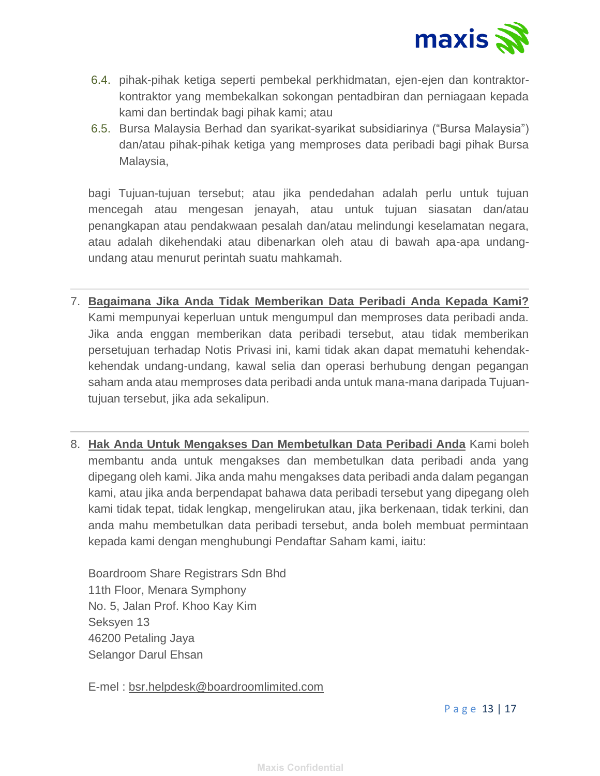

- 6.4. pihak-pihak ketiga seperti pembekal perkhidmatan, ejen-ejen dan kontraktorkontraktor yang membekalkan sokongan pentadbiran dan perniagaan kepada kami dan bertindak bagi pihak kami; atau
- 6.5. Bursa Malaysia Berhad dan syarikat-syarikat subsidiarinya ("Bursa Malaysia") dan/atau pihak-pihak ketiga yang memproses data peribadi bagi pihak Bursa Malaysia,

bagi Tujuan-tujuan tersebut; atau jika pendedahan adalah perlu untuk tujuan mencegah atau mengesan jenayah, atau untuk tujuan siasatan dan/atau penangkapan atau pendakwaan pesalah dan/atau melindungi keselamatan negara, atau adalah dikehendaki atau dibenarkan oleh atau di bawah apa-apa undangundang atau menurut perintah suatu mahkamah.

- 7. **Bagaimana Jika Anda Tidak Memberikan Data Peribadi Anda Kepada Kami?** Kami mempunyai keperluan untuk mengumpul dan memproses data peribadi anda. Jika anda enggan memberikan data peribadi tersebut, atau tidak memberikan persetujuan terhadap Notis Privasi ini, kami tidak akan dapat mematuhi kehendakkehendak undang-undang, kawal selia dan operasi berhubung dengan pegangan saham anda atau memproses data peribadi anda untuk mana-mana daripada Tujuantujuan tersebut, jika ada sekalipun.
- 8. **Hak Anda Untuk Mengakses Dan Membetulkan Data Peribadi Anda** Kami boleh membantu anda untuk mengakses dan membetulkan data peribadi anda yang dipegang oleh kami. Jika anda mahu mengakses data peribadi anda dalam pegangan kami, atau jika anda berpendapat bahawa data peribadi tersebut yang dipegang oleh kami tidak tepat, tidak lengkap, mengelirukan atau, jika berkenaan, tidak terkini, dan anda mahu membetulkan data peribadi tersebut, anda boleh membuat permintaan kepada kami dengan menghubungi Pendaftar Saham kami, iaitu:

Boardroom Share Registrars Sdn Bhd 11th Floor, Menara Symphony No. 5, Jalan Prof. Khoo Kay Kim Seksyen 13 46200 Petaling Jaya Selangor Darul Ehsan

E-mel : [bsr.helpdesk@boardroomlimited.com](mailto:bsr.helpdesk@boardroomlimited.com)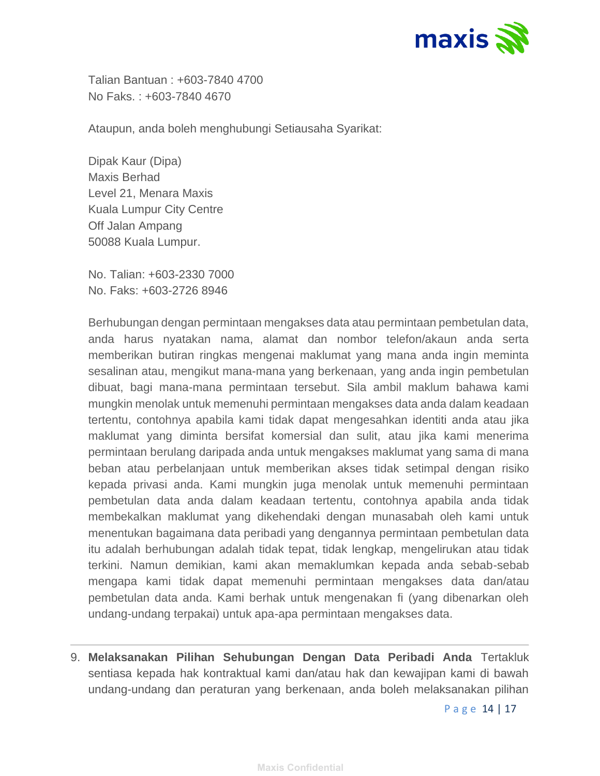

Talian Bantuan : +603-7840 4700 No Faks. : +603-7840 4670

Ataupun, anda boleh menghubungi Setiausaha Syarikat:

Dipak Kaur (Dipa) Maxis Berhad Level 21, Menara Maxis Kuala Lumpur City Centre Off Jalan Ampang 50088 Kuala Lumpur.

No. Talian: +603-2330 7000 No. Faks: +603-2726 8946

Berhubungan dengan permintaan mengakses data atau permintaan pembetulan data, anda harus nyatakan nama, alamat dan nombor telefon/akaun anda serta memberikan butiran ringkas mengenai maklumat yang mana anda ingin meminta sesalinan atau, mengikut mana-mana yang berkenaan, yang anda ingin pembetulan dibuat, bagi mana-mana permintaan tersebut. Sila ambil maklum bahawa kami mungkin menolak untuk memenuhi permintaan mengakses data anda dalam keadaan tertentu, contohnya apabila kami tidak dapat mengesahkan identiti anda atau jika maklumat yang diminta bersifat komersial dan sulit, atau jika kami menerima permintaan berulang daripada anda untuk mengakses maklumat yang sama di mana beban atau perbelanjaan untuk memberikan akses tidak setimpal dengan risiko kepada privasi anda. Kami mungkin juga menolak untuk memenuhi permintaan pembetulan data anda dalam keadaan tertentu, contohnya apabila anda tidak membekalkan maklumat yang dikehendaki dengan munasabah oleh kami untuk menentukan bagaimana data peribadi yang dengannya permintaan pembetulan data itu adalah berhubungan adalah tidak tepat, tidak lengkap, mengelirukan atau tidak terkini. Namun demikian, kami akan memaklumkan kepada anda sebab-sebab mengapa kami tidak dapat memenuhi permintaan mengakses data dan/atau pembetulan data anda. Kami berhak untuk mengenakan fi (yang dibenarkan oleh undang-undang terpakai) untuk apa-apa permintaan mengakses data.

9. **Melaksanakan Pilihan Sehubungan Dengan Data Peribadi Anda** Tertakluk sentiasa kepada hak kontraktual kami dan/atau hak dan kewajipan kami di bawah undang-undang dan peraturan yang berkenaan, anda boleh melaksanakan pilihan

P a g e 14 | 17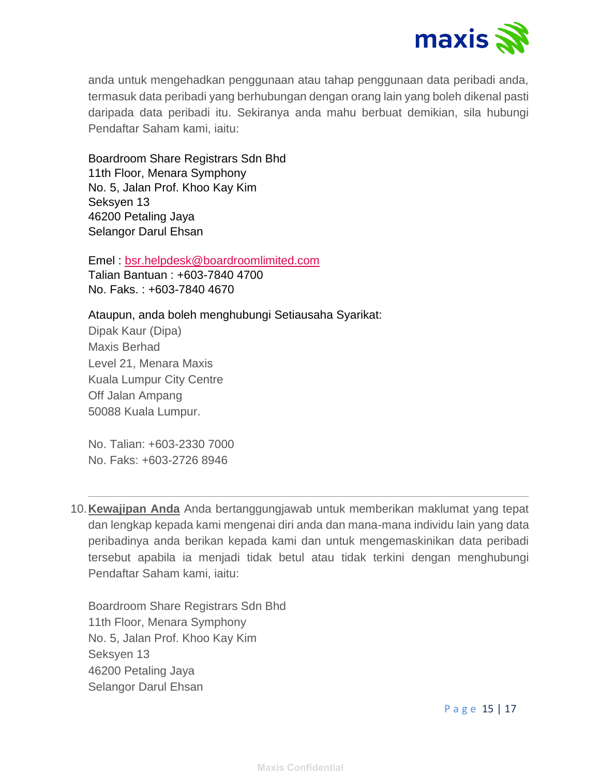

anda untuk mengehadkan penggunaan atau tahap penggunaan data peribadi anda, termasuk data peribadi yang berhubungan dengan orang lain yang boleh dikenal pasti daripada data peribadi itu. Sekiranya anda mahu berbuat demikian, sila hubungi Pendaftar Saham kami, iaitu:

Boardroom Share Registrars Sdn Bhd 11th Floor, Menara Symphony No. 5, Jalan Prof. Khoo Kay Kim Seksyen 13 46200 Petaling Jaya Selangor Darul Ehsan

Emel : [bsr.helpdesk@boardroomlimited.com](mailto:bsr.helpdesk@boardroomlimited.com) Talian Bantuan : +603-7840 4700 No. Faks. : +603-7840 4670

Ataupun, anda boleh menghubungi Setiausaha Syarikat: Dipak Kaur (Dipa) Maxis Berhad Level 21, Menara Maxis Kuala Lumpur City Centre Off Jalan Ampang

No. Talian: +603-2330 7000

50088 Kuala Lumpur.

No. Faks: +603-2726 8946

10.**Kewajipan Anda** Anda bertanggungjawab untuk memberikan maklumat yang tepat dan lengkap kepada kami mengenai diri anda dan mana-mana individu lain yang data peribadinya anda berikan kepada kami dan untuk mengemaskinikan data peribadi tersebut apabila ia menjadi tidak betul atau tidak terkini dengan menghubungi Pendaftar Saham kami, iaitu:

Boardroom Share Registrars Sdn Bhd 11th Floor, Menara Symphony No. 5, Jalan Prof. Khoo Kay Kim Seksyen 13 46200 Petaling Jaya Selangor Darul Ehsan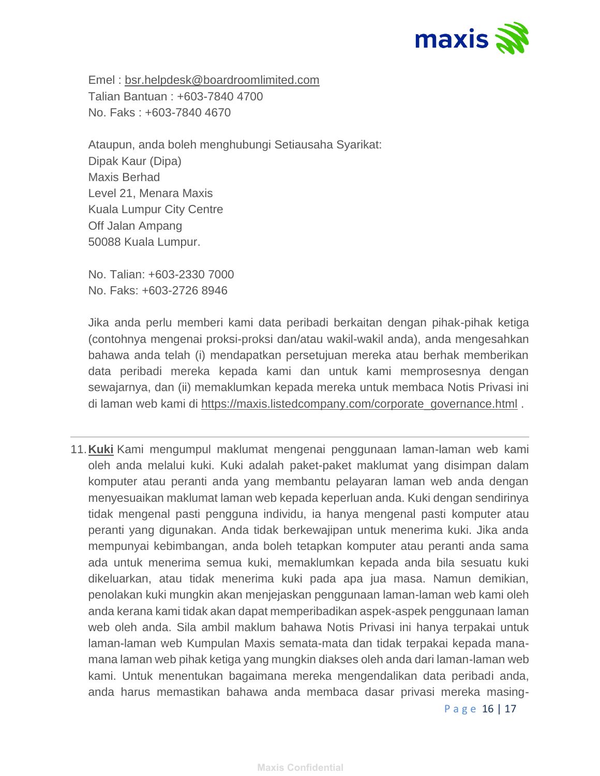

Emel : [bsr.helpdesk@boardroomlimited.com](mailto:bsr.helpdesk@boardroomlimited.com) Talian Bantuan : +603-7840 4700 No. Faks : +603-7840 4670

Ataupun, anda boleh menghubungi Setiausaha Syarikat: Dipak Kaur (Dipa) Maxis Berhad Level 21, Menara Maxis Kuala Lumpur City Centre Off Jalan Ampang 50088 Kuala Lumpur.

No. Talian: +603-2330 7000 No. Faks: +603-2726 8946

Jika anda perlu memberi kami data peribadi berkaitan dengan pihak-pihak ketiga (contohnya mengenai proksi-proksi dan/atau wakil-wakil anda), anda mengesahkan bahawa anda telah (i) mendapatkan persetujuan mereka atau berhak memberikan data peribadi mereka kepada kami dan untuk kami memprosesnya dengan sewajarnya, dan (ii) memaklumkan kepada mereka untuk membaca Notis Privasi ini di laman web kami di [https://maxis.listedcompany.com/corporate\\_governance.html](https://maxis.listedcompany.com/corporate_governance.html) .

11.**Kuki** Kami mengumpul maklumat mengenai penggunaan laman-laman web kami oleh anda melalui kuki. Kuki adalah paket-paket maklumat yang disimpan dalam komputer atau peranti anda yang membantu pelayaran laman web anda dengan menyesuaikan maklumat laman web kepada keperluan anda. Kuki dengan sendirinya tidak mengenal pasti pengguna individu, ia hanya mengenal pasti komputer atau peranti yang digunakan. Anda tidak berkewajipan untuk menerima kuki. Jika anda mempunyai kebimbangan, anda boleh tetapkan komputer atau peranti anda sama ada untuk menerima semua kuki, memaklumkan kepada anda bila sesuatu kuki dikeluarkan, atau tidak menerima kuki pada apa jua masa. Namun demikian, penolakan kuki mungkin akan menjejaskan penggunaan laman-laman web kami oleh anda kerana kami tidak akan dapat memperibadikan aspek-aspek penggunaan laman web oleh anda. Sila ambil maklum bahawa Notis Privasi ini hanya terpakai untuk laman-laman web Kumpulan Maxis semata-mata dan tidak terpakai kepada manamana laman web pihak ketiga yang mungkin diakses oleh anda dari laman-laman web kami. Untuk menentukan bagaimana mereka mengendalikan data peribadi anda, anda harus memastikan bahawa anda membaca dasar privasi mereka masing-

P a g e 16 | 17